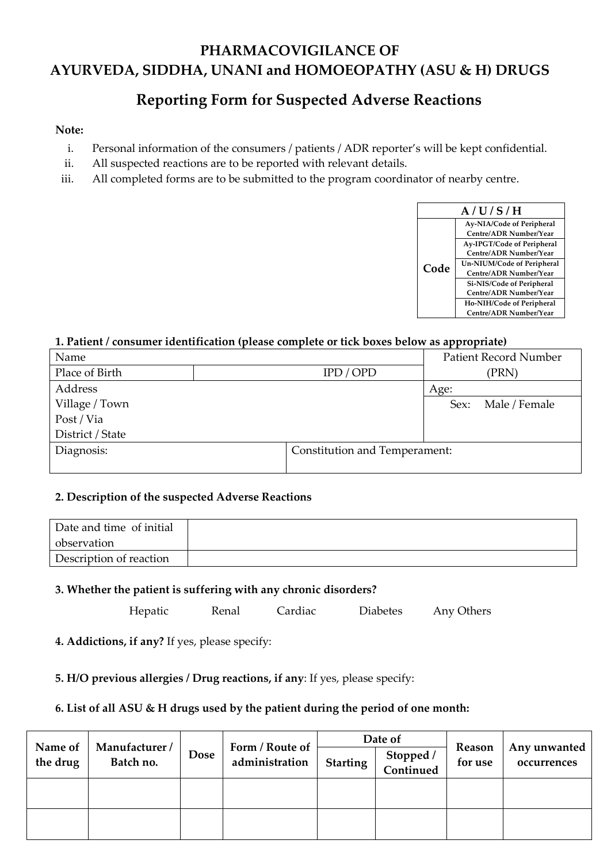# **PHARMACOVIGILANCE OF AYURVEDA, SIDDHA, UNANI and HOMOEOPATHY (ASU & H) DRUGS**

# **Reporting Form for Suspected Adverse Reactions**

## **Note:**

- i. Personal information of the consumers / patients / ADR reporter's will be kept confidential.
- ii. All suspected reactions are to be reported with relevant details.
- iii. All completed forms are to be submitted to the program coordinator of nearby centre.



# **1. Patient / consumer identification (please complete or tick boxes below as appropriate)**

| Name             |                               |      | <b>Patient Record Number</b> |
|------------------|-------------------------------|------|------------------------------|
| Place of Birth   | IPD / OPD                     |      | (PRN)                        |
| Address          |                               | Age: |                              |
| Village / Town   |                               | Sex: | Male / Female                |
| Post / Via       |                               |      |                              |
| District / State |                               |      |                              |
| Diagnosis:       | Constitution and Temperament: |      |                              |
|                  |                               |      |                              |

#### **2. Description of the suspected Adverse Reactions**

| Date and time of initial |  |
|--------------------------|--|
| observation              |  |
| Description of reaction  |  |

# **3. Whether the patient is suffering with any chronic disorders?**

Hepatic Renal Cardiac Diabetes Any Others

**4. Addictions, if any?** If yes, please specify:

# **5. H/O previous allergies / Drug reactions, if any**: If yes, please specify:

# **6. List of all ASU & H drugs used by the patient during the period of one month:**

| Name of<br>the drug | Manufacturer/<br>Batch no. | <b>Dose</b> | Form / Route of<br>administration | Date of<br>Stopped /<br>Continued<br><b>Starting</b> |  | Reason<br>for use | Any unwanted<br>occurrences |
|---------------------|----------------------------|-------------|-----------------------------------|------------------------------------------------------|--|-------------------|-----------------------------|
|                     |                            |             |                                   |                                                      |  |                   |                             |
|                     |                            |             |                                   |                                                      |  |                   |                             |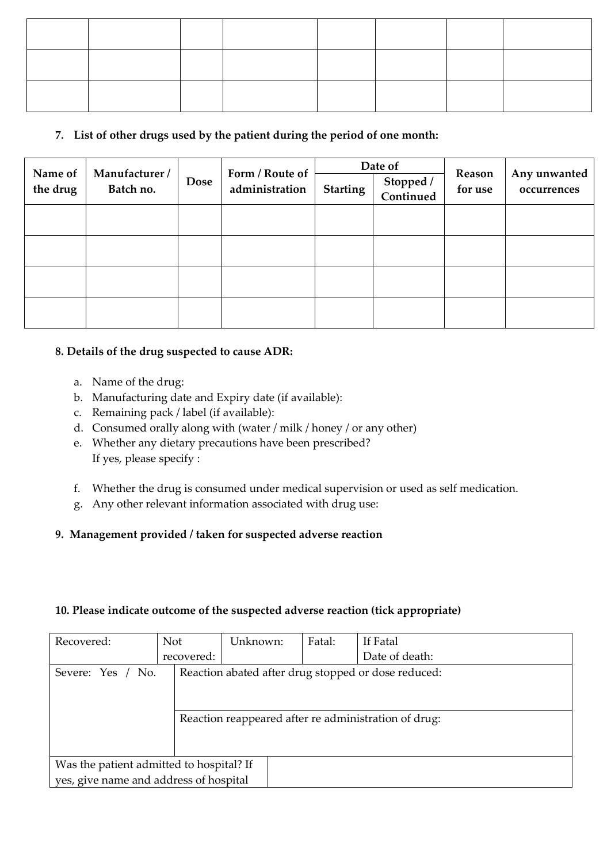# **7. List of other drugs used by the patient during the period of one month:**

| Name of  | Manufacturer / |             | Form / Route of | Date of                                   |  |                   |                             |
|----------|----------------|-------------|-----------------|-------------------------------------------|--|-------------------|-----------------------------|
| the drug | Batch no.      | <b>Dose</b> | administration  | Stopped /<br>Continued<br><b>Starting</b> |  | Reason<br>for use | Any unwanted<br>occurrences |
|          |                |             |                 |                                           |  |                   |                             |
|          |                |             |                 |                                           |  |                   |                             |
|          |                |             |                 |                                           |  |                   |                             |
|          |                |             |                 |                                           |  |                   |                             |

## **8. Details of the drug suspected to cause ADR:**

- a. Name of the drug:
- b. Manufacturing date and Expiry date (if available):
- c. Remaining pack / label (if available):
- d. Consumed orally along with (water / milk / honey / or any other)
- e. Whether any dietary precautions have been prescribed? If yes, please specify :
- f. Whether the drug is consumed under medical supervision or used as self medication.
- g. Any other relevant information associated with drug use:

# **9. Management provided / taken for suspected adverse reaction**

#### **10. Please indicate outcome of the suspected adverse reaction (tick appropriate)**

| Recovered:                               | <b>Not</b> | Unknown: | Fatal: | If Fatal                                             |
|------------------------------------------|------------|----------|--------|------------------------------------------------------|
|                                          | recovered: |          |        | Date of death:                                       |
| Severe: Yes / No.                        |            |          |        | Reaction abated after drug stopped or dose reduced:  |
|                                          |            |          |        | Reaction reappeared after re administration of drug: |
| Was the patient admitted to hospital? If |            |          |        |                                                      |
| yes, give name and address of hospital   |            |          |        |                                                      |